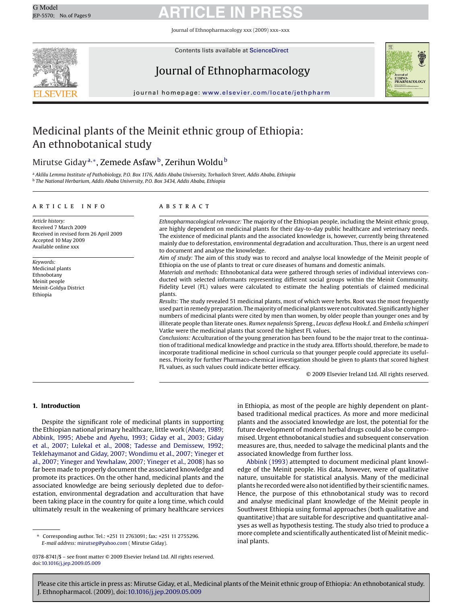Journal of Ethnopharmacology xxx (2009) xxx–xxx



Contents lists available at [ScienceDirect](http://www.sciencedirect.com/science/journal/03788741)

# Journal of Ethnopharmacology



journal homepage: [www.elsevier.com/locate/jethpharm](http://www.elsevier.com/locate/jethpharm)

# Medicinal plants of the Meinit ethnic group of Ethiopia: An ethnobotanical study

## Mirutse Giday<sup>a,∗</sup>, Zemede Asfaw<sup>b</sup>, Zerihun Woldu<sup>b</sup>

<sup>a</sup> *Aklilu Lemma Institute of Pathobiology, P.O. Box 1176, Addis Ababa University, Torhailoch Street, Addis Ababa, Ethiopia* <sup>b</sup> *The National Herbarium, Addis Ababa University, P.O. Box 3434, Addis Ababa, Ethiopia*

### article info

*Article history:* Received 7 March 2009 Received in revised form 26 April 2009 Accepted 10 May 2009 Available online xxx

*Keywords:* Medicinal plants Ethnobotany Meinit people Meinit-Goldya District Ethiopia

### **ABSTRACT**

*Ethnopharmacological relevance:* The majority of the Ethiopian people, including the Meinit ethnic group, are highly dependent on medicinal plants for their day-to-day public healthcare and veterinary needs. The existence of medicinal plants and the associated knowledge is, however, currently being threatened mainly due to deforestation, environmental degradation and acculturation. Thus, there is an urgent need to document and analyse the knowledge.

*Aim of study:* The aim of this study was to record and analyse local knowledge of the Meinit people of Ethiopia on the use of plants to treat or cure diseases of humans and domestic animals.

*Materials and methods:* Ethnobotanical data were gathered through series of individual interviews conducted with selected informants representing different social groups within the Meinit Community. Fidelity Level (FL) values were calculated to estimate the healing potentials of claimed medicinal plants.

*Results:* The study revealed 51 medicinal plants, most of which were herbs. Root was the most frequently used part in remedy preparation. Themajority ofmedicinal plants were not cultivated. Significantly higher numbers of medicinal plants were cited by men than women, by older people than younger ones and by illiterate people than literate ones. *Rumex nepalensis* Spreng., *Leucas deflexa* Hook.f. and *Embelia schimperi* Vatke were the medicinal plants that scored the highest FL values.

*Conclusions:* Acculturation of the young generation has been found to be the major treat to the continuation of traditional medical knowledge and practice in the study area. Efforts should, therefore, be made to incorporate traditional medicine in school curricula so that younger people could appreciate its usefulness. Priority for further Pharmaco-chemical investigation should be given to plants that scored highest FL values, as such values could indicate better efficacy.

© 2009 Elsevier Ireland Ltd. All rights reserved.

### **1. Introduction**

Despite the significant role of medicinal plants in supporting the Ethiopian national primary healthcare, little work [\(Abate, 1989;](#page-7-0) [Abbink, 1995; Abebe and Ayehu, 1993; Giday et al., 2003; Giday](#page-7-0) [et al., 2007; Lulekal et al., 2008; Tadesse and Demissew, 1992;](#page-7-0) [Teklehaymanot and Giday, 2007; Wondimu et al., 2007; Yineger et](#page-7-0) [al., 2007; Yineger and Yewhalaw, 2007; Yineger et al., 2008\) h](#page-7-0)as so far been made to properly document the associated knowledge and promote its practices. On the other hand, medicinal plants and the associated knowledge are being seriously depleted due to deforestation, environmental degradation and acculturation that have been taking place in the country for quite a long time, which could ultimately result in the weakening of primary healthcare services

∗ Corresponding author. Tel.: +251 11 2763091; fax: +251 11 2755296. *E-mail address:* [mirutseg@yahoo.com](mailto:mirutseg@yahoo.com) ( Mirutse Giday).

in Ethiopia, as most of the people are highly dependent on plantbased traditional medical practices. As more and more medicinal plants and the associated knowledge are lost, the potential for the future development of modern herbal drugs could also be compromised. Urgent ethnobotanical studies and subsequent conservation measures are, thus, needed to salvage the medicinal plants and the associated knowledge from further loss.

[Abbink \(1993\)](#page-7-0) attempted to document medicinal plant knowledge of the Meinit people. His data, however, were of qualitative nature, unsuitable for statistical analysis. Many of the medicinal plants he recorded were also not identified by their scientific names. Hence, the purpose of this ethnobotanical study was to record and analyse medicinal plant knowledge of the Meinit people in Southwest Ethiopia using formal approaches (both qualitative and quantitative) that are suitable for descriptive and quantitative analyses as well as hypothesis testing. The study also tried to produce a more complete and scientifically authenticated list of Meinit medicinal plants.

<sup>0378-8741/\$ –</sup> see front matter © 2009 Elsevier Ireland Ltd. All rights reserved. doi:[10.1016/j.jep.2009.05.009](dx.doi.org/10.1016/j.jep.2009.05.009)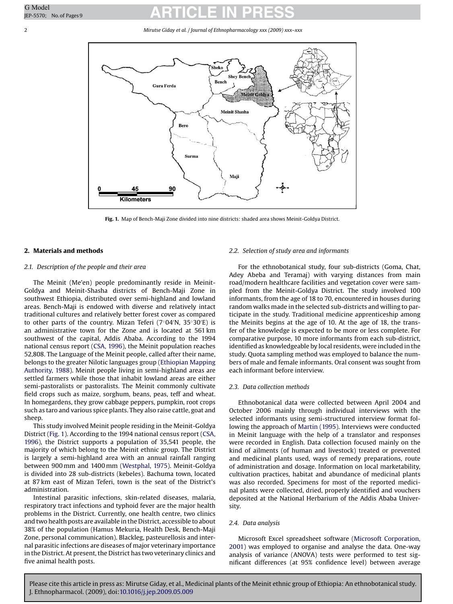### 2 *Mirutse Giday et al. / Journal of Ethnopharmacology xxx (2009) xxx–xxx*



**Fig. 1.** Map of Bench-Maji Zone divided into nine districts: shaded area shows Meinit-Goldya District.

### **2. Materials and methods**

### *2.1. Description of the people and their area*

The Meinit (Me'en) people predominantly reside in Meinit-Goldya and Meinit-Shasha districts of Bench-Maji Zone in southwest Ethiopia, distributed over semi-highland and lowland areas. Bench-Maji is endowed with diverse and relatively intact traditional cultures and relatively better forest cover as compared to other parts of the country. Mizan Teferi (7◦04 N, 35◦30 E) is an administrative town for the Zone and is located at 561 km southwest of the capital, Addis Ababa. According to the 1994 national census report [\(CSA, 1996\),](#page-7-0) the Meinit population reaches 52,808. The Language of the Meinit people, called after their name, belongs to the greater Nilotic languages group ([Ethiopian Mapping](#page-8-0) [Authority, 1988\).](#page-8-0) Meinit people living in semi-highland areas are settled farmers while those that inhabit lowland areas are either semi-pastoralists or pastoralists. The Meinit commonly cultivate field crops such as maize, sorghum, beans, peas, teff and wheat. In homegardens, they grow cabbage peppers, pumpkin, root crops such as taro and various spice plants. They also raise cattle, goat and sheep.

This study involved Meinit people residing in the Meinit-Goldya District (Fig. 1). According to the 1994 national census report ([CSA,](#page-7-0) [1996\),](#page-7-0) the District supports a population of 35,541 people, the majority of which belong to the Meinit ethnic group. The District is largely a semi-highland area with an annual rainfall ranging between 900 mm and 1400 mm ([Westphal, 1975\).](#page-8-0) Meinit-Goldya is divided into 28 sub-districts (kebeles). Bachuma town, located at 87 km east of Mizan Teferi, town is the seat of the District's administration.

Intestinal parasitic infections, skin-related diseases, malaria, respiratory tract infections and typhoid fever are the major health problems in the District. Currently, one health centre, two clinics and two health posts are available in the District, accessible to about 38% of the population (Hamus Mekuria, Health Desk, Bench-Maji Zone, personal communication). Blackleg, pasteurellosis and internal parasitic infections are diseases of major veterinary importance in the District. At present, the District has two veterinary clinics and five animal health posts.

### *2.2. Selection of study area and informants*

For the ethnobotanical study, four sub-districts (Goma, Chat, Adey Abeba and Teramaj) with varying distances from main road/modern healthcare facilities and vegetation cover were sampled from the Meinit-Goldya District. The study involved 100 informants, from the age of 18 to 70, encountered in houses during random walks made in the selected sub-districts and willing to participate in the study. Traditional medicine apprenticeship among the Meinits begins at the age of 10. At the age of 18, the transfer of the knowledge is expected to be more or less complete. For comparative purpose, 10 more informants from each sub-district, identified as knowledgeable by local residents, were included in the study. Quota sampling method was employed to balance the numbers of male and female informants. Oral consent was sought from each informant before interview.

### *2.3. Data collection methods*

Ethnobotanical data were collected between April 2004 and October 2006 mainly through individual interviews with the selected informants using semi-structured interview format following the approach of [Martin \(1995\). I](#page-8-0)nterviews were conducted in Meinit language with the help of a translator and responses were recorded in English. Data collection focused mainly on the kind of ailments (of human and livestock) treated or prevented and medicinal plants used, ways of remedy preparations, route of administration and dosage. Information on local marketability, cultivation practices, habitat and abundance of medicinal plants was also recorded. Specimens for most of the reported medicinal plants were collected, dried, properly identified and vouchers deposited at the National Herbarium of the Addis Ababa University.

### *2.4. Data analysis*

Microsoft Excel spreadsheet software ([Microsoft Corporation,](#page-8-0) [2001\)](#page-8-0) was employed to organise and analyse the data. One-way analysis of variance (ANOVA) tests were performed to test significant differences (at 95% confidence level) between average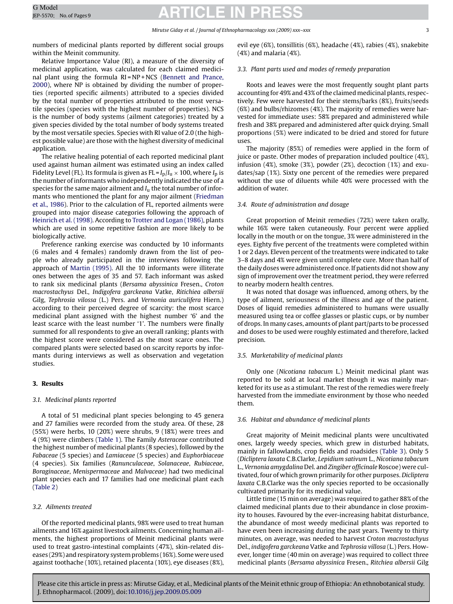### *Mirutse Giday et al. / Journal of Ethnopharmacology xxx (2009) xxx–xxx* 3

numbers of medicinal plants reported by different social groups within the Meinit community.

Relative Importance Value (RI), a measure of the diversity of medicinal application, was calculated for each claimed medici-nal plant using the formula RI = NP + NCS [\(Bennett and Prance,](#page-7-0) [2000\),](#page-7-0) where NP is obtained by dividing the number of properties (reported specific ailments) attributed to a species divided by the total number of properties attributed to the most versatile species (species with the highest number of properties). NCS is the number of body systems (ailment categories) treated by a given species divided by the total number of body systems treated by the most versatile species. Species with RI value of 2.0 (the highest possible value) are those with the highest diversity of medicinal application.

The relative healing potential of each reported medicinal plant used against human ailment was estimated using an index called Fidelity Level (FL). Its formula is given as  $FL = I_D/I_U \times 100$ , where  $I_D$  is the number of informants who independently indicated the use of a species for the same major ailment and *I*<sup>u</sup> the total number of informants who mentioned the plant for any major ailment ([Friedman](#page-8-0) [et al., 1986\).](#page-8-0) Prior to the calculation of FL, reported ailments were grouped into major disease categories following the approach of [Heinrich et al. \(1998\). A](#page-8-0)ccording to [Trotter and Logan \(1986\), p](#page-8-0)lants which are used in some repetitive fashion are more likely to be biologically active.

Preference ranking exercise was conducted by 10 informants (6 males and 4 females) randomly drawn from the list of people who already participated in the interviews following the approach of [Martin \(1995\).](#page-8-0) All the 10 informants were illiterate ones between the ages of 35 and 57. Each informant was asked to rank six medicinal plants (*Bersama abyssinica* Fresen., *Croton macrostachyus* Del., *Indigofera garckeana* Vatke, *Ritichiea albersii* Gilg, *Tephrosia vilossa* (L.) Pers. and *Vernonia auriculifera* Hiern.) according to their perceived degree of scarcity: the most scarce medicinal plant assigned with the highest number '6' and the least scarce with the least number '1'. The numbers were finally summed for all respondents to give an overall ranking; plants with the highest score were considered as the most scarce ones. The compared plants were selected based on scarcity reports by informants during interviews as well as observation and vegetation studies.

### **3. Results**

### *3.1. Medicinal plants reported*

A total of 51 medicinal plant species belonging to 45 genera and 27 families were recorded from the study area. Of these, 28 (55%) were herbs, 10 (20%) were shrubs, 9 (18%) were trees and 4 (9%) were climbers ([Table 1\).](#page-3-0) The Family *Asteraceae* contributed the highest number of medicinal plants (8 species), followed by the *Fabaceae* (5 species) and *Lamiaceae* (5 species) and *Euphorbiaceae* (4 species). Six families (*Ranunculaceae*, *Solanaceae*, *Rubiaceae*, *Boraginaceae*, *Menispermaceae* and *Malvaceae*) had two medicinal plant species each and 17 families had one medicinal plant each ([Table 2\)](#page-5-0)

### *3.2. Ailments treated*

Of the reported medicinal plants, 98% were used to treat human ailments and 16% against livestock ailments. Concerning human ailments, the highest proportions of Meinit medicinal plants were used to treat gastro-intestinal complaints (47%), skin-related diseases (29%) and respiratory system problems (16%). Some were used against toothache (10%), retained placenta (10%), eye diseases (8%),

evil eye (6%), tonsillitis (6%), headache (4%), rabies (4%), snakebite (4%) and malaria (4%).

### *3.3. Plant parts used and modes of remedy preparation*

Roots and leaves were the most frequently sought plant parts accounting for 49% and 43% of the claimed medicinal plants, respectively. Few were harvested for their stems/barks (8%), fruits/seeds (6%) and bulbs/rhizomes (4%). The majority of remedies were harvested for immediate uses: 58% prepared and administered while fresh and 38% prepared and administered after quick drying. Small proportions (5%) were indicated to be dried and stored for future uses.

The majority (85%) of remedies were applied in the form of juice or paste. Other modes of preparation included poultice (4%), infusion (4%), smoke (3%), powder (2%), decoction (1%) and exudates/sap (1%). Sixty one percent of the remedies were prepared without the use of diluents while 40% were processed with the addition of water.

### *3.4. Route of administration and dosage*

Great proportion of Meinit remedies (72%) were taken orally, while 16% were taken cutaneously. Four percent were applied locally in the mouth or on the tongue, 3% were administered in the eyes. Eighty five percent of the treatments were completed within 1 or 2 days. Eleven percent of the treatments were indicated to take 3–8 days and 4% were given until complete cure. More than half of the daily doses were administered once. If patients did not show any sign of improvement over the treatment period, they were referred to nearby modern health centres.

It was noted that dosage was influenced, among others, by the type of ailment, seriousness of the illness and age of the patient. Doses of liquid remedies administered to humans were usually measured using tea or coffee glasses or plastic cups, or by number of drops. In many cases, amounts of plant part/parts to be processed and doses to be used were roughly estimated and therefore, lacked precision.

### *3.5. Marketability of medicinal plants*

Only one (*Nicotiana tabacum* L.) Meinit medicinal plant was reported to be sold at local market though it was mainly marketed for its use as a stimulant. The rest of the remedies were freely harvested from the immediate environment by those who needed them.

### *3.6. Habitat and abundance of medicinal plants*

Great majority of Meinit medicinal plants were uncultivated ones, largely weedy species, which grew in disturbed habitats, mainly in fallowlands, crop fields and roadsides ([Table 3\).](#page-5-0) Only 5 (*Dicliptera laxata* C.B.Clarke, *Lepidium sativum* L., *Nicotiana tabacum* L., *Vernonia amygdalina* Del. and *Zingiber officinale* Roscoe) were cultivated, four of which grown primarily for other purposes. *Dicliptera laxata* C.B.Clarke was the only species reported to be occasionally cultivated primarily for its medicinal value.

Little time (15 min on average) was required to gather 88% of the claimed medicinal plants due to their abundance in close proximity to houses. Favoured by the ever-increasing habitat disturbance, the abundance of most weedy medicinal plants was reported to have even been increasing during the past years. Twenty to thirty minutes, on average, was needed to harvest *Croton macrostachyus* Del., *indigofera garckeana* Vatke and *Tephrosia villosa* (L.) Pers. However, longer time (40 min on average) was required to collect three medicinal plants (*Bersama abyssinica* Fresen., *Ritchiea albersii* Gilg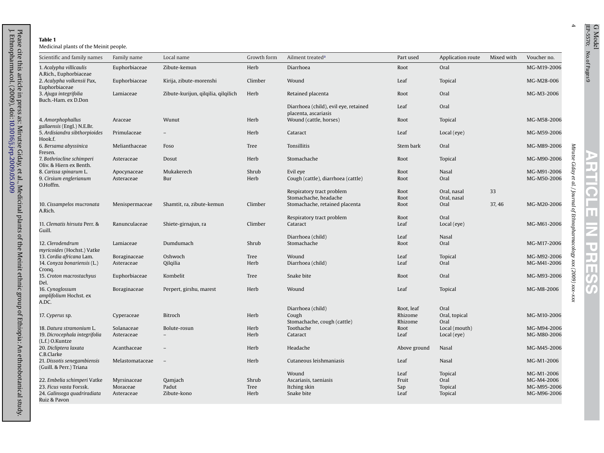# <span id="page-3-0"></span>Please cite this article in press as: Mirutse Giday, et al., Medicinal plants of the Meinit ethnic group of Ethiopia: An ethnobotanical study.<br>J. Ethnopharmacol. (2009), doi:10.1016/j.jep.2009.05.009 **Table 1**

J. Ethnopharmacol. (2009), doi:

[10.1016/j.jep.2009.05.009](dx.doi.org/10.1016/j.jep.2009.05.009)

Please cite this article in press as: Mirutse Giday, et al., Medicinal plants of che Meinit ethnic group of Ethiopia: An ethnobotanical study. An ethnobotanical study.

| Scientific and family names                            | Family name               | Local name                          | Growth form   | Ailment treated <sup>a</sup>                                  | Part used          | Application route     | Mixed with | Voucher no.                |
|--------------------------------------------------------|---------------------------|-------------------------------------|---------------|---------------------------------------------------------------|--------------------|-----------------------|------------|----------------------------|
| 1. Acalypha villicaulis<br>A.Rich., Euphorbiaceae      | Euphorbiaceae             | Zibute-kemun                        | Herb          | Diarrhoea                                                     | Root               | Oral                  |            | MG-M19-2006                |
| 2. Acalypha volkensii Pax,<br>Euphorbiaceae            | Euphorbiaceae             | Kirija, zibute-morenshi             | Climber       | Wound                                                         | Leaf               | <b>Topical</b>        |            | MG-M28-006                 |
| 3. Ajuga integrifolia<br>Buch.-Ham. ex D.Don           | Lamiaceae                 | Zibute-kurijun, qilqilia, qilqilich | Herb          | Retained placenta                                             | Root               | Oral                  |            | MG-M3-2006                 |
|                                                        |                           |                                     |               | Diarrhoea (child), evil eye, retained<br>placenta, ascariasis | Leaf               | Oral                  |            |                            |
| 4. Amorphophallus<br>gallaensis (Engl.) N.E.Br.        | Araceae                   | Wunut                               | Herb          | Wound (cattle, horses)                                        | Root               | <b>Topical</b>        |            | MG-M58-2006                |
| 5. Ardisiandra sibthorpioides<br>Hook.f.               | Primulaceae               |                                     | Herb          | Cataract                                                      | Leaf               | Local (eye)           |            | MG-M59-2006                |
| 6. Bersama abyssinica<br>Fresen.                       | Melianthaceae             | Foso                                | Tree          | Tonsillitis                                                   | Stem bark          | Oral                  |            | MG-M89-2006                |
| 7. Bothriocline schimperi<br>Oliv. & Hiern ex Benth.   | Asteraceae                | Dosut                               | Herb          | Stomachache                                                   | Root               | <b>Topical</b>        |            | MG-M90-2006                |
| 8. Carissa spinarum L.<br>9. Cirsium englerianum       | Apocynaceae<br>Asteraceae | Mukakerech<br>Bur                   | Shrub<br>Herb | Evil eye<br>Cough (cattle), diarrhoea (cattle)                | Root<br>Root       | Nasal<br>Oral         |            | MG-M91-2006<br>MG-M50-2006 |
| O.Hoffm.                                               |                           |                                     |               | Respiratory tract problem                                     | Root               | Oral, nasal           | 33         |                            |
|                                                        |                           |                                     |               | Stomachache, headache                                         | Root               | Oral, nasal           |            |                            |
| 10. Cissampelos mucronata<br>A.Rich.                   | Menispermaceae            | Shamtit, ra, zibute-kemun           | Climber       | Stomachache, retained placenta                                | Root               | Oral                  | 37, 46     | MG-M20-2006                |
|                                                        |                           |                                     |               | Respiratory tract problem                                     | Root               | Oral                  |            |                            |
| 11. Clematis hirsuta Perr. &<br>Guill.                 | Ranunculaceae             | Shiete-girnajun, ra                 | Climber       | Cataract                                                      | Leaf               | Local (eye)           |            | MG-M61-2006                |
|                                                        |                           |                                     |               | Diarrhoea (child)                                             | Leaf               | Nasal                 |            |                            |
| 12. Clerodendrum<br>myricoides (Hochst.) Vatke         | Lamiaceae                 | Dumdumach                           | Shrub         | Stomachache                                                   | Root               | Oral                  |            | MG-M17-2006                |
| 13. Cordia africana Lam.                               | Boraginaceae              | Oshwoch                             | Tree          | Wound                                                         | Leaf               | <b>Topical</b>        |            | MG-M92-2006                |
| 14. Conyza bonariensis (L.)<br>Cronq.                  | Asteraceae                | Qilqilia                            | Herb          | Diarrhoea (child)                                             | Leaf               | Oral                  |            | MG-M41-2006                |
| 15. Croton macrostachyus<br>Del.                       | Euphorbiaceae             | Kombelit                            | Tree          | Snake bite                                                    | Root               | Oral                  |            | MG-M93-2006                |
| 16. Cynoglossum<br>amplifolium Hochst. ex              | Boraginaceae              | Perpert, girshu, marest             | Herb          | Wound                                                         | Leaf               | <b>Topical</b>        |            | MG-M8-2006                 |
| A.DC.                                                  |                           |                                     |               | Diarrhoea (child)                                             | Root, leaf         | Oral                  |            |                            |
| 17. Cyperus sp.                                        | Cyperaceae                | Bitroch                             | Herb          | Cough<br>Stomachache, cough (cattle)                          | Rhizome<br>Rhizome | Oral, topical<br>Oral |            | MG-M10-2006                |
| 18. Datura stramonium L.                               | Solanaceae                | Bolute-rosun                        | Herb          | Toothache                                                     | Root               | Local (mouth)         |            | MG-M94-2006                |
| 19. Dicrocephala integrifolia<br>(L.f.) O.Kuntze       | Asteraceae                |                                     | Herb          | Cataract                                                      | Leaf               | Local (eye)           |            | MG-M80-2006                |
| 20. Dicliptera laxata<br>C.B.Clarke                    | Acanthaceae               |                                     | Herb          | Headache                                                      | Above ground       | Nasal                 |            | MG-M45-2006                |
| 21. Dissotis senegambiensis<br>(Guill. & Perr.) Triana | Melastomataceae           | $\sim$                              | Herb          | Cutaneous leishmaniasis                                       | Leaf               | Nasal                 |            | MG-M1-2006                 |
|                                                        |                           |                                     |               | Wound                                                         | Leaf               | <b>Topical</b>        |            | MG-M1-2006                 |
| 22. Embelia schimperi Vatke                            | Myrsinaceae               | Qamjach                             | Shrub         | Ascariasis, taeniasis                                         | Fruit              | Oral                  |            | MG-M4-2006                 |
| 23. Ficus vasta Forssk.                                | Moraceae                  | Padut                               | Tree          | Itching skin                                                  | Sap                | <b>Topical</b>        |            | MG-M95-2006                |
| 24. Galinsoga quadriradiata<br>Ruiz & Pavon            | Asteraceae                | Zibute-kono                         | Herb          | Snake bite                                                    | Leaf               | <b>Topical</b>        |            | MG-M96-2006                |

4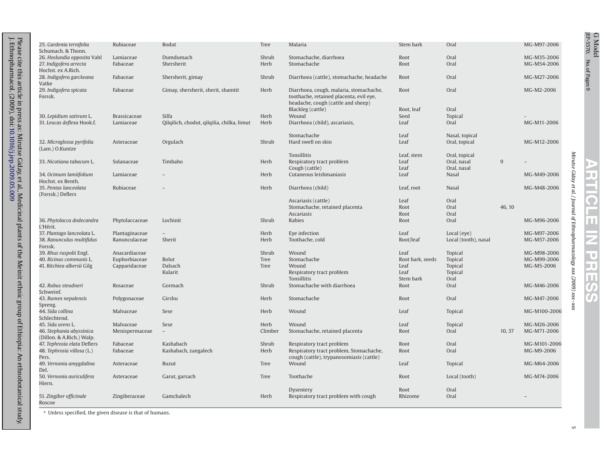<span id="page-4-0"></span>

| 25. Gardenia ternifolia<br>Schumach. & Thonn. | Rubiaceae           | Bodut                                      | Tree    | Malaria                                   | Stem bark        | Oral                 |        | MG-M97-2006  |
|-----------------------------------------------|---------------------|--------------------------------------------|---------|-------------------------------------------|------------------|----------------------|--------|--------------|
| 26. Hoslundia opposita Vahl                   | Lamiaceae           | Dumdumach                                  | Shrub   | Stomachache, diarrhoea                    | Root             | Oral                 |        | MG-M35-2006  |
| 27. Indigofera arrecta                        | Fabaceae            | Shersherit                                 | Herb    | Stomachache                               | Root             | Oral                 |        | MG-M54-2006  |
| Hochst. ex A.Rich.                            |                     |                                            |         |                                           |                  |                      |        |              |
| 28. Indigofera garckeana                      | Fabaceae            | Shersherit, gimay                          | Shrub   | Diarrhoea (cattle), stomachache, headache | Root             | Oral                 |        | MG-M27-2006  |
| Vatke                                         |                     |                                            |         |                                           |                  |                      |        |              |
| 29. Indigofera spicata                        | Fabaceae            | Gimay, shersherit, sherit, shamtit         | Herb    | Diarrhoea, cough, malaria, stomachache,   | Root             | Oral                 |        | MG-M2-2006   |
| Forssk.                                       |                     |                                            |         | toothache, retained placenta, evil eye,   |                  |                      |        |              |
|                                               |                     |                                            |         | headache, cough (cattle and sheep)        |                  |                      |        |              |
|                                               |                     |                                            |         | Blackleg (cattle)                         | Root, leaf       | Oral                 |        |              |
| 30. Lepidium sativum L.                       | <b>Brassicaceae</b> | Silfa                                      | Herb    | Wound                                     | Seed             | Topical              |        |              |
| 31. Leucas deflexa Hook.f.                    | Lamiaceae           | Qilqilich, chodut, qilqilia, chilka, limut | Herb    | Diarrhoea (child), ascariasis,            | Leaf             | Oral                 |        | MG-M11-2006  |
|                                               |                     |                                            |         |                                           |                  |                      |        |              |
|                                               |                     |                                            |         | Stomachache                               | Leaf             | Nasal, topical       |        |              |
| 32. Microglossa pyrifolia                     | Asteraceae          | Orgulach                                   | Shrub   | Hard swell on skin                        | Leaf             | Oral, topical        |        | MG-M12-2006  |
| (Lam.) O.Kuntze                               |                     |                                            |         |                                           |                  |                      |        |              |
|                                               |                     |                                            |         | Tonsillitis                               | Leaf, stem       | Oral, topical        |        |              |
| 33. Nicotiana tabacum L.                      | Solanaceae          | Timbaho                                    | Herb    | Respiratory tract problem                 | Leaf             | Oral, nasal          | 9      |              |
|                                               |                     |                                            |         |                                           |                  |                      |        |              |
|                                               |                     |                                            |         | Cough (cattle)<br>Cutaneous leishmaniasis | Leaf<br>Leaf     | Oral, nasal<br>Nasal |        |              |
| 34. Ocimum lamiifolium<br>Hochst, ex Benth.   | Lamiaceae           |                                            | Herb    |                                           |                  |                      |        | MG-M49-2006  |
|                                               |                     |                                            |         |                                           |                  |                      |        |              |
| 35. Pentas lanceolata                         | Rubiaceae           |                                            | Herb    | Diarrhoea (child)                         | Leaf, root       | Nasal                |        | MG-M48-2006  |
| (Forssk.) Deflers                             |                     |                                            |         |                                           |                  |                      |        |              |
|                                               |                     |                                            |         | Ascariasis (cattle)                       | Leaf             | Oral                 |        |              |
|                                               |                     |                                            |         | Stomachache, retained placenta            | Root             | Oral                 | 46, 10 |              |
|                                               |                     |                                            |         | Ascariasis                                | Root             | Oral                 |        |              |
| 36. Phytolacca dodecandra                     | Phytolaccaceae      | Lochinit                                   | Shrub   | Rabies                                    | Root             | Oral                 |        | MG-M96-2006  |
| L'Hérit.                                      |                     |                                            |         |                                           |                  |                      |        |              |
| 37. Plantago lanceolata L.                    | Plantaginaceae      |                                            | Herb    | Eye infection                             | Leaf             | Local (eye)          |        | MG-M97-2006  |
| 38. Ranunculus multifidus                     | Ranunculaceae       | Sherit                                     | Herb    | Toothache, cold                           | Root/leaf        | Local (tooth), nasal |        | MG-M57-2006  |
| Forssk.                                       |                     |                                            |         |                                           |                  |                      |        |              |
| 39. Rhus ruspolii Engl.                       | Anacardiaceae       |                                            | Shrub   | Wound                                     | Leaf             | <b>Topical</b>       |        | MG-M98-2006  |
| 40. Ricinus communis L.                       | Euphorbiaceae       | Bolut                                      | Tree    | Stomachache                               | Root bark, seeds | Topical              |        | MG-M99-2006  |
| 41. Ritchiea albersii Gilg                    | Capparidaceae       | Dalsach                                    | Tree    | Wound                                     | Leaf             | Topical              |        | MG-M5-2006   |
|                                               |                     | Kularit                                    |         | Respiratory tract problem                 | Leaf             | Topical              |        |              |
|                                               |                     |                                            |         | Tonsillitis                               | Stem bark        | Oral                 |        |              |
| 42. Rubus steudneri                           | Rosaceae            | Gormach                                    | Shrub   | Stomachache with diarrhoea                | Root             | Oral                 |        | MG-M46-2006  |
| Schweinf.                                     |                     |                                            |         |                                           |                  |                      |        |              |
| 43. Rumex nepalensis                          | Polygonaceae        | Girshu                                     | Herb    | Stomachache                               | Root             | Oral                 |        | MG-M47-2006  |
| Spreng.                                       |                     |                                            |         |                                           |                  |                      |        |              |
| 44. Sida collina                              | Malvaceae           | Sese                                       | Herb    | Wound                                     | Leaf             | Topical              |        | MG-M100-2006 |
| Schlechtend.                                  |                     |                                            |         |                                           |                  |                      |        |              |
| 45. Sida urens L.                             | Malvaceae           | Sese                                       | Herb    | Wound                                     | Leaf             | Topical              |        | MG-M26-2006  |
| 46. Stephania abyssinica                      | Menispermaceae      |                                            | Climber | Stomachache, retained placenta            | Root             | Oral                 | 10, 37 | MG-M71-2006  |
| (Dillon. & A.Rich.) Walp.                     |                     |                                            |         |                                           |                  |                      |        |              |
| 47. Tephrosia elata Deflers                   | Fabaceae            | Kashabach                                  | Shrub   | Respiratory tract problem                 | Root             | Oral                 |        | MG-M101-2006 |
| 48. Tephrosia villosa (L.)                    | Fabaceae            | Kashabach, zangalech                       | Herb    | Respiratory tract problem, Stomachache,   | Root             | Oral                 |        | MG-M9-2006   |
| Pers.                                         |                     |                                            |         | cough (cattle), trypanosomiasis (cattle)  |                  |                      |        |              |
| 49. Vernonia amygdalina                       | Asteraceae          | <b>Buzut</b>                               | Tree    | Wound                                     | Leaf             | Topical              |        | MG-M64-2006  |
| Del.                                          |                     |                                            |         |                                           |                  |                      |        |              |
| 50. Vernonia auriculifera                     | Asteraceae          | Garut, garsach                             | Tree    | Toothache                                 | Root             | Local (tooth)        |        | MG-M74-2006  |
| Hiern.                                        |                     |                                            |         |                                           |                  |                      |        |              |
|                                               |                     |                                            |         | Dysentery                                 | Root             | Oral                 |        |              |
|                                               |                     |                                            |         |                                           |                  |                      |        |              |
| 51. Zingiber officinale                       | Zingiberaceae       | Gamchalech                                 | Herb    | Respiratory tract problem with cough      | Rhizome          | Oral                 |        |              |

<sup>a</sup> Unless specified, the given disease is that of humans.

G Model

**ARTICLE IN PRESS** JEP-5570; No. of Pages 9 **ARTICLE IN PRESS**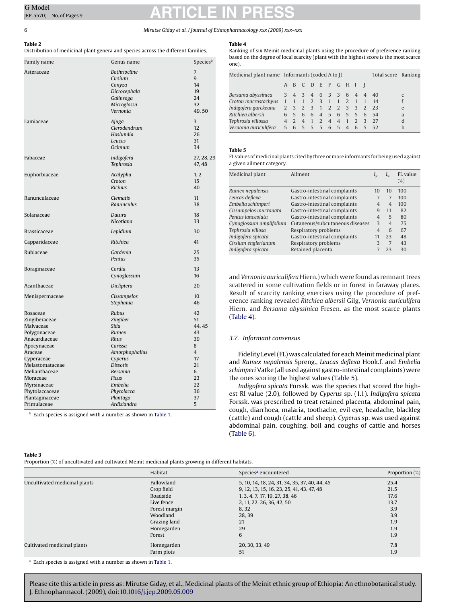### <span id="page-5-0"></span>6 *Mirutse Giday et al. / Journal of Ethnopharmacology xxx (2009) xxx–xxx*

**Table 4**

**Table 2**

Distribution of medicinal plant genera and species across the different families. Family name Genus name Genus name Species<sup>a</sup>

Asteraceae *Bothriocline* 7

| ble 4 |  |  |
|-------|--|--|

Ranking of six Meinit medicinal plants using the procedure of preference ranking based on the degree of local scarcity (plant with the highest score is the most scarce one).

|                       |   | Medicinal plant name Informants (coded A to I) |       |                     |     |  |         |  | Total score Ranking |                        |                |
|-----------------------|---|------------------------------------------------|-------|---------------------|-----|--|---------|--|---------------------|------------------------|----------------|
|                       |   |                                                |       | A B C D E F G H I I |     |  |         |  |                     |                        |                |
| Bersama abyssinica    |   |                                                |       | 3 4 3 4 6 3 3 6 4 4 |     |  |         |  |                     | -40                    |                |
| Croton macrostachyus  |   |                                                |       |                     |     |  |         |  |                     | 1 1 1 2 3 1 1 2 1 1 14 |                |
| Indigofera garckeana  |   |                                                |       | 2 3 2 3 1 2 2 3 3 2 |     |  |         |  |                     | - 23                   | e              |
| Ritchieg albersii     | 6 |                                                |       | 5 6 6 4 5 6 5 5 6   |     |  |         |  |                     | - 54                   | $\overline{a}$ |
| Tephrosia villossa    |   |                                                | 2 4 1 |                     | 2 4 |  | 4 1 2 3 |  |                     | 27                     |                |
| Vernonia auriculifera |   |                                                |       | 5 6 5 5 5 6 5 4 6 5 |     |  |         |  |                     | - 52                   |                |

### **Table 5**

FL values of medicinal plants cited by three or more informants for being used against a given ailment category.

| Medicinal plant         | Ailment                         | $I_{\rm p}$    | $I_{11}$       | FL value<br>$(\%)$ |
|-------------------------|---------------------------------|----------------|----------------|--------------------|
| Rumex nepalensis        | Gastro-intestinal complaints    | 10             | 10             | 100                |
| Leucas deflexa          | Gastro-intestinal complaints    | 7              | 7              | 100                |
| Embelia schimperi       | Gastro-intestinal complaints    | 4              | $\overline{4}$ | 100                |
| Cissampelos mucronata   | Gastro-intestinal complaints    | 9              | 11             | 82                 |
| Pentas lanceolata       | Gastro-intestinal complaints    | $\overline{4}$ | 5              | 80                 |
| Cynoglossum amplifolium | Cutaneous/subcutaneous diseases | 3              | $\overline{4}$ | 75                 |
| Tephrosia villosa       | Respiratory problems            | $\overline{4}$ | 6              | 67                 |
| Indigofera spicata      | Gastro-intestinal complaints    | 11             | 23             | 48                 |
| Cirsium englerianum     | Respiratory problems            | 3              | 7              | 43                 |
| Indigofera spicata      | Retained placenta               |                | 23             | 30                 |
|                         |                                 |                |                |                    |

and *Vernonia auriculifera* Hiern.) which were found as remnant trees scattered in some cultivation fields or in forest in faraway places. Result of scarcity ranking exercises using the procedure of preference ranking revealed *Ritchiea albersii* Gilg, *Vernonia auriculifera* Hiern. and *Bersama abyssinica* Fresen. as the most scarce plants (Table 4).

### *3.7. Informant consensus*

Fidelity Level (FL) was calculated for each Meinit medicinal plant and *Rumex nepalensis* Spreng., *Leucas deflexa* Hook.f. and *Embelia schimperi* Vatke (all used against gastro-intestinal complaints) were the ones scoring the highest values (Table 5).

*Indigofera spicata* Forssk. was the species that scored the highest RI value (2.0), followed by *Cyperus* sp. (1.1). *Indigofera spicata* Forssk. was prescribed to treat retained placenta, abdominal pain, cough, diarrhoea, malaria, toothache, evil eye, headache, blackleg (cattle) and cough (cattle and sheep). *Cyperus* sp. was used against abdominal pain, coughing, boil and coughs of cattle and horses [\(Table 6\).](#page-6-0)

|                                                                                                                                                                                      | Cirsium<br>Conyza<br>Dicrocephala<br>Galinsoga<br>Microglossa<br>Vernonia                                                                               | 9<br>14<br>19<br>24<br>32<br>49,50                                                 |
|--------------------------------------------------------------------------------------------------------------------------------------------------------------------------------------|---------------------------------------------------------------------------------------------------------------------------------------------------------|------------------------------------------------------------------------------------|
| Lamiaceae                                                                                                                                                                            | Ajuga<br>Clerodendrum<br>Hoslundia<br>Leucas<br>Ocimum                                                                                                  | 3<br>12<br>26<br>31<br>34                                                          |
| Fabaceae                                                                                                                                                                             | Indigofera<br>Tephrosia                                                                                                                                 | 27, 28, 29<br>47, 48                                                               |
| Euphorbiaceae                                                                                                                                                                        | Acalypha<br>Croton<br><b>Ricinus</b>                                                                                                                    | 1, 2<br>15<br>40                                                                   |
| Ranunculaceae                                                                                                                                                                        | Clematis<br>Ranunculus                                                                                                                                  | 11<br>38                                                                           |
| Solanaceae                                                                                                                                                                           | Datura<br>Nicotiana                                                                                                                                     | 18<br>33                                                                           |
| <b>Brassicaceae</b>                                                                                                                                                                  | Lepidium                                                                                                                                                | 30                                                                                 |
| Capparidaceae                                                                                                                                                                        | Ritchiea                                                                                                                                                | 41                                                                                 |
| Rubiaceae                                                                                                                                                                            | Gardenia<br>Pentas                                                                                                                                      | 25<br>35                                                                           |
| Boraginaceae                                                                                                                                                                         | Cordia<br>Cynoglossum                                                                                                                                   | 13<br>16                                                                           |
| Acanthaceae                                                                                                                                                                          | Dicliptera                                                                                                                                              | 20                                                                                 |
| Menispermaceae                                                                                                                                                                       | Cissampelos<br>Stephania                                                                                                                                | 10<br>46                                                                           |
| Zingiberaceae<br>Malvaceae<br>Polygonaceae<br>Anacardiaceae<br>Apocynaceae<br>Araceae<br>Cyperaceae<br>Melastomataceae<br>Melianthaceae<br>Moraceae<br>Myrsinaceae<br>Phytolaccaceae | Zingiber<br>Sida<br>Rumex<br>Rhus<br>Carissa<br>Amorphophallus<br>Cyperus<br><b>Dissotis</b><br><b>Bersama</b><br><b>Ficus</b><br>Embelia<br>Phytolacca | 51<br>44, 45<br>43<br>39<br>8<br>$\overline{4}$<br>17<br>21<br>6<br>23<br>22<br>36 |
| Plantaginaceae                                                                                                                                                                       | Plantago                                                                                                                                                | 37                                                                                 |
| Primulaceae                                                                                                                                                                          | Ardisiandra                                                                                                                                             | 5                                                                                  |

<sup>a</sup> Each species is assigned with a number as shown in [Table 1.](#page-3-0)

### **Table 3**

Proportion (%) of uncultivated and cultivated Meinit medicinal plants growing in different habitats.

|                               | Habitat       | Species <sup>a</sup> encountered              | Proportion (%) |
|-------------------------------|---------------|-----------------------------------------------|----------------|
| Uncultivated medicinal plants | Fallowland    | 5, 10, 14, 18, 24, 31, 34, 35, 37, 40, 44, 45 | 25.4           |
|                               | Crop field    | 9, 12, 13, 15, 16, 23, 25, 41, 43, 47, 48     | 21.5           |
|                               | Roadside      | 1, 3, 4, 7, 17, 19, 27, 38, 46                | 17.6           |
|                               | Live fence    | 2, 11, 22, 26, 36, 42, 50                     | 13.7           |
|                               | Forest margin | 8,32                                          | 3.9            |
|                               | Woodland      | 28,39                                         | 3.9            |
|                               | Grazing land  | 21                                            | 1.9            |
|                               | Homegarden    | 29                                            | 1.9            |
|                               | Forest        | 6                                             | 1.9            |
| Cultivated medicinal plants   | Homegarden    | 20, 30, 33, 49                                | 7.8            |
|                               | Farm plots    | 51                                            | 1.9            |

<sup>a</sup> Each species is assigned with a number as shown in [Table 1.](#page-3-0)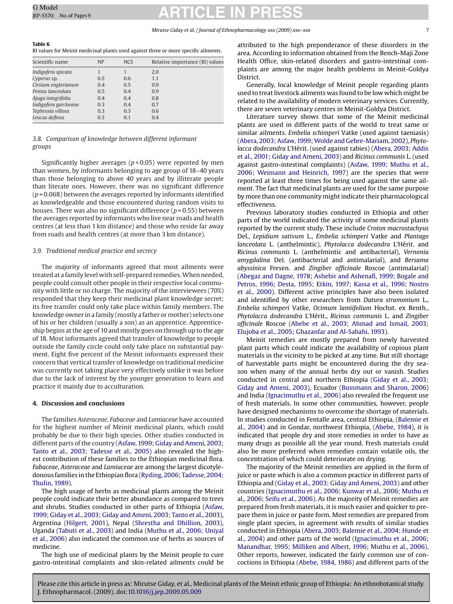### *Mirutse Giday et al. / Journal of Ethnopharmacology xxx (2009) xxx–xxx* 7

<span id="page-6-0"></span>

| Table 6                                                                             |  |
|-------------------------------------------------------------------------------------|--|
| RI values for Meinit medicinal plants used against three or more specific ailments. |  |

| Scientific name      | <b>NP</b> | <b>NCS</b> | Relative importance (RI) values |
|----------------------|-----------|------------|---------------------------------|
| Indigofera spicata   |           |            | 2.0                             |
| Cyperus sp.          | 0.5       | 0.6        | 1.1                             |
| Cirsium englerianum  | 0.4       | 0.5        | 0.9                             |
| Pentas lanceolata    | 0.5       | 0.4        | 0.9                             |
| Ajuga integrifolia   | 0.4       | 0.4        | 0.8                             |
| Indigofera garckeana | 0.3       | 0.4        | 0.7                             |
| Tephrosia villosa    | 0.3       | 0.3        | 0.6                             |
| Leucas deflexa       | 0.3       | 0.1        | 0.4                             |
|                      |           |            |                                 |

### *3.8. Comparison of knowledge between different informant groups*

Significantly higher averages (*p* < 0.05) were reported by men than women, by informants belonging to age group of 18–40 years than those belonging to above 40 years and by illiterate people than literate ones. However, there was no significant difference (*p* = 0.068) between the averages reported by informants identified as knowledgeable and those encountered during random visits to houses. There was also no significant difference (*p* = 0.55) between the averages reported by informants who live near roads and health centres (at less than 1 km distance) and those who reside far away from roads and health centres (at more than 3 km distance).

### *3.9. Traditional medical practice and secrecy*

The majority of informants agreed that most ailments were treated at a family level with self-prepared remedies.When needed, people could consult other people in their respective local community with little or no charge. The majority of the interviewees (70%) responded that they keep their medicinal plant knowledge secret; its free transfer could only take place within family members. The knowledge owner in a family (mostly a father or mother) selects one of his or her children (usually a son) as an apprentice. Apprenticeship begins at the age of 10 and mostly goes on through up to the age of 18. Most informants agreed that transfer of knowledge to people outside the family circle could only take place on substantial payment. Eight five percent of the Meinit informants expressed their concern that vertical transfer of knowledge on traditional medicine was currently not taking place very effectively unlike it was before due to the lack of interest by the younger generation to learn and practice it mainly due to acculturation.

### **4. Discussion and conclusions**

The families *Asteraceae*, *Fabaceae* and *Lamiaceae* have accounted for the highest number of Meinit medicinal plants, which could probably be due to their high species. Other studies conducted in different parts of the country [\(Asfaw, 1999; Giday and Ameni, 2003;](#page-7-0) [Tanto et al., 2003; Tadesse et al., 2005\)](#page-7-0) also revealed the highest contribution of these families to the Ethiopian medicinal flora. *Fabaceae*, *Asteraceae* and *Lamiaceae* are among the largest dicotyledonous families in the Ethiopian flora ([Ryding, 2006; Tadesse, 2004;](#page-8-0) [Thulin, 1989\).](#page-8-0)

The high usage of herbs as medicinal plants among the Meinit people could indicate their better abundance as compared to trees and shrubs. Studies conducted in other parts of Ethiopia ([Asfaw,](#page-7-0) [1999; Giday et al., 2003; Giday and Ameni, 2003; Tanto et al., 2003\),](#page-7-0) Argentina [\(Hilgert, 2001\),](#page-8-0) Nepal ([Shrestha and Dhillion, 2003\),](#page-8-0) Uganda [\(Tabuti et al., 2003\)](#page-8-0) and India [\(Muthu et al., 2006; Uniyal](#page-8-0) [et al., 2006\)](#page-8-0) also indicated the common use of herbs as sources of medicine.

The high use of medicinal plants by the Meinit people to cure gastro-intestinal complaints and skin-related ailments could be attributed to the high preponderance of these disorders in the area. According to information obtained from the Bench-Maji Zone Health Office, skin-related disorders and gastro-intestinal complaints are among the major health problems in Meinit-Goldya **District.** 

Generally, local knowledge of Meinit people regarding plants used to treat livestock ailments was found to be low which might be related to the availability of modern veterinary services. Currently, there are seven veterinary centres in Meinit-Goldya District.

Literature survey shows that some of the Meinit medicinal plants are used in different parts of the world to treat same or similar ailments. *Embelia schimperi* Vatke (used against taeniasis) [\(Abera, 2003; Asfaw, 1999;Wolde and Gebre-Mariam, 2002\),](#page-7-0) *Phytolacca dodecandra* L'Hérit. (used against rabies) [\(Abera, 2003; Addis](#page-7-0) [et al., 2001; Giday and Ameni, 2003\) a](#page-7-0)nd *Ricinus communis* L. (used against gastro-intestinal complaints) ([Asfaw, 1999; Muthu et al.,](#page-7-0) [2006; Weimann and Heinrich, 1997\)](#page-7-0) are the species that were reported at least three times for being used against the same ailment. The fact that medicinal plants are used for the same purpose by more than one community might indicate their pharmacological effectiveness.

Previous laboratory studies conducted in Ethiopia and other parts of the world indicated the activity of some medicinal plants reported by the current study. These include *Croton macrostachyus* Del., *Lepidium sativum* L., *Embelia schimperi* Vatke and *Plantago lanceolata* L. (anthelmintic), *Phytolacca dodecandra* L'Hérit. and *Ricinus communis* L. (anthelmintic and antibacterial), *Vernonia amygdalina* Del. (antibacterial and antimalarial), and *Bersama abyssinica* Fresen. and *Zingiber officinale* Roscoe (antimalarial) [\(Abegaz and Dagne, 1978; Ashebir and Ashenafi, 1999; Bogale and](#page-7-0) [Petros, 1996; Desta, 1995; Etkin, 1997; Kassa et al., 1996; Nostro](#page-7-0) [et al., 2000\).](#page-7-0) Different active principles have also been isolated and identified by other researchers from *Datura stramonium* L., *Embelia schimperi* Vatke, *Ocimum lamiifolium* Hochst. ex Benth., *Phytolacca dodecandra* L'Hérit., *Ricinus communis* L. and *Zingiber officinale* Roscoe ([Abebe et al., 2003; Ahmad and Ismail, 2003;](#page-7-0) [Elujoba et al., 2005; Ghazanfar and Al-Sabahi, 1993\).](#page-7-0)

Meinit remedies are mostly prepared from newly harvested plant parts which could indicate the availability of copious plant materials in the vicinity to be picked at any time. But still shortage of harvestable parts might be encountered during the dry season when many of the annual herbs dry out or vanish. Studies conducted in central and northern Ethiopia ([Giday et al., 2003;](#page-8-0) [Giday and Ameni, 2003\),](#page-8-0) Ecuador [\(Bussmann and Sharon, 2006\)](#page-7-0) and India ([Ignacimuthu et al., 2006\)](#page-8-0) also revealed the frequent use of fresh materials. In some other communities, however, people have designed mechanisms to overcome the shortage of materials. In studies conducted in Fentalle area, central Ethiopia, ([Balemie et](#page-7-0) [al., 2004\)](#page-7-0) and in Gondar, northwest Ethiopia, ([Abebe, 1984\),](#page-7-0) it is indicated that people dry and store remedies in order to have as many drugs as possible all the year round. Fresh materials could also be more preferred when remedies contain volatile oils, the concentration of which could deteriorate on drying.

The majority of the Meinit remedies are applied in the form of juice or paste which is also a common practice in different parts of Ethiopia and ([Giday et al., 2003; Giday and Ameni, 2003\)](#page-8-0) and other countries [\(Ignacimuthu et al., 2006; Kunwar et al., 2006; Muthu et](#page-8-0) [al.](#page-8-0)*,* [2006; Seifu et al., 2006\).](#page-8-0) As the majority of Meinit remedies are prepared from fresh materials, it is much easier and quicker to prepare them in juice or paste form. Most remedies are prepared from single plant species, in agreement with results of similar studies conducted in Ethiopia [\(Abera, 2003; Balemie et al., 2004; Hunde et](#page-7-0) [al., 2004\)](#page-7-0) and other parts of the world ([Ignacimuthu et al., 2006;](#page-8-0) [Manandhar, 1995; Milliken and Albert, 1996; Muthu et al., 2006\).](#page-8-0) Other reports, however, indicated the fairly common use of concoctions in Ethiopia ([Abebe, 1984, 1986\)](#page-7-0) and different parts of the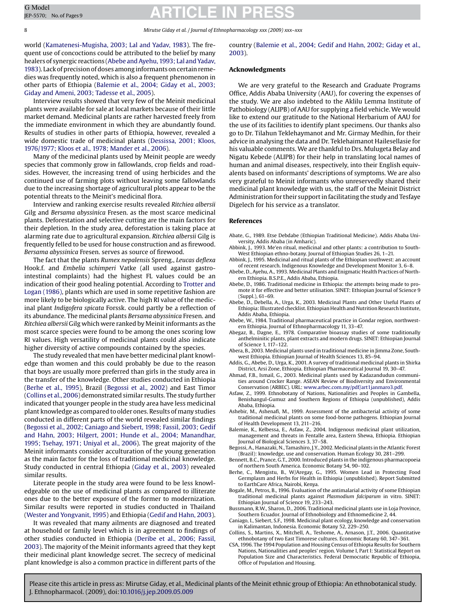### 8 *Mirutse Giday et al. / Journal of Ethnopharmacology xxx (2009) xxx–xxx*

world ([Kamatenesi-Mugisha, 2003; Lal and Yadav, 1983\).](#page-8-0) The frequent use of concoctions could be attributed to the belief by many healers of synergic reactions (Abebe and Ayehu, 1993; Lal and Yadav, 1983). Lack of precision of doses among informants on certain remedies was frequently noted, which is also a frequent phenomenon in other parts of Ethiopia (Balemie et al., 2004; Giday et al., 2003; Giday and Ameni, 2003; Tadesse et al., 2005).

Interview results showed that very few of the Meinit medicinal plants were available for sale at local markets because of their little market demand. Medicinal plants are rather harvested freely from the immediate environment in which they are abundantly found. Results of studies in other parts of Ethiopia, however, revealed a wide domestic trade of medicinal plants ([Dessissa, 2001; Kloos,](#page-8-0) [1976/1977; Kloos et al., 1978; Mander et al., 2006\).](#page-8-0)

Many of the medicinal plants used by Meinit people are weedy species that commonly grow in fallowlands, crop fields and roadsides. However, the increasing trend of using herbicides and the continued use of farming plots without leaving some fallowlands due to the increasing shortage of agricultural plots appear to be the potential threats to the Meinit's medicinal flora.

Interview and ranking exercise results revealed *Ritchiea albersii* Gilg and *Bersama abyssinica* Fresen. as the most scarce medicinal plants. Deforestation and selective cutting are the main factors for their depletion. In the study area, deforestation is taking place at alarming rate due to agricultural expansion. *Ritchiea albersii* Gilg is frequently felled to be used for house construction and as firewood. *Bersama abyssinica* Fresen. serves as source of firewood.

The fact that the plants *Rumex nepalensis* Spreng., *Leucas deflexa* Hook.f. and *Embelia schimperi* Vatke (all used against gastrointestinal complaints) had the highest FL values could be an indication of their good healing potential. According to [Trotter and](#page-8-0) [Logan \(1986\), p](#page-8-0)lants which are used in some repetitive fashion are more likely to be biologically active. The high RI value of the medicinal plant *Indigofera spicata* Forssk. could partly be a reflection of its abundance. The medicinal plants *Bersama abyssinica* Fresen. and *Ritchiea albersii* Gilg which were ranked by Meinit informants as the most scarce species were found to be among the ones scoring low RI values. High versatility of medicinal plants could also indicate higher diversity of active compounds contained by the species.

The study revealed that men have better medicinal plant knowledge than women and this could probably be due to the reason that boys are usually more preferred than girls in the study area in the transfer of the knowledge. Other studies conducted in Ethiopia (Berhe et al., 1995), Brazil (Begossi et al., 2002) and East Timor (Collins et al., 2006) demonstrated similar results. The study further indicated that younger people in the study area have less medicinal plant knowledge as compared to older ones. Results of many studies conducted in different parts of the world revealed similar findings (Begossi et al., 2002; Caniago and Siebert, 1998; Fassil, 2003; Gedif and Hahn, 2003; Hilgert, 2001; Hunde et al., 2004; Manandhar, 1995; Tsehay, 1971; Uniyal et al., 2006). The great majority of the Meinit informants consider acculturation of the young generation as the main factor for the loss of traditional medicinal knowledge. Study conducted in central Ethiopia ([Giday et al., 2003\)](#page-8-0) revealed similar results.

Literate people in the study area were found to be less knowledgeable on the use of medicinal plants as compared to illiterate ones due to the better exposure of the former to modernization. Similar results were reported in studies conducted in Thailand ([Wester and Yongvanit, 1995\) a](#page-8-0)nd Ethiopia ([Gedif and Hahn, 2003\).](#page-8-0)

It was revealed that many ailments are diagnosed and treated at household or family level which is in agreement to findings of other studies conducted in Ethiopia [\(Deribe et al., 2006; Fassil,](#page-8-0) [2003\).](#page-8-0) The majority of the Meinit informants agreed that they kept their medicinal plant knowledge secret. The secrecy of medicinal plant knowledge is also a common practice in different parts of the

country (Balemie et al., 2004; Gedif and Hahn, 2002; Giday et al., 2003).

### **Acknowledgments**

We are very grateful to the Research and Graduate Programs Office, Addis Ababa University (AAU), for covering the expenses of the study. We are also indebted to the Aklilu Lemma Institute of Pathobiology (ALIPB) of AAU for supplying a field vehicle.We would like to extend our gratitude to the National Herbarium of AAU for the use of its facilities to identify plant specimens. Our thanks also go to Dr. Tilahun Teklehaymanot and Mr. Girmay Medhin, for their advice in analysing the data and Dr. Teklehaimanot Hailesellasie for his valuable comments. We are thankful to Drs. Mulugeta Belay and Nigatu Kebede (ALIPB) for their help in translating local names of human and animal diseases, respectively, into their English equivalents based on informants' descriptions of symptoms. We are also very grateful to Meinit informants who unreservedly shared their medicinal plant knowledge with us, the staff of the Meinit District Administration for their support in facilitating the study and Tesfaye Digelech for his service as a translator.

### **References**

- Abate, G., 1989. Etse Debdabe (Ethiopian Traditional Medicine). Addis Ababa University, Addis Ababa (in Amharic).
- Abbink, J., 1993. Me'en ritual, medicinal and other plants: a contribution to South-West Ethiopian ethno-botany. Journal of Ethiopian Studies 26, 1–21.
- Abbink, J., 1995. Medicinal and ritual plants of the Ethiopian southwest: an account of recent research. Indigenous Knowledge and Development Monitor 3, 6–8.
- Abebe, D., Ayehu, A., 1993. Medicinal Plants and Enigmatic Health Practices of Northern Ethiopia. B.S.P.E., Addis Ababa, Ethiopia.
- Abebe, D., 1986. Traditional medicine in Ethiopia: the attempts being made to promote it for effective and better utilisation. SINET: Ethiopian Journal of Science 9 (Suppl.), 61–69.
- Abebe, D., Debella, A., Urga, K., 2003. Medicinal Plants and Other Useful Plants of Ethiopia: Illustrated checklist. Ethiopian Health and Nutrition Research Institute, Addis Ababa, Ethiopia.
- Abebe, W., 1984. Traditional pharmaceutical practice in Gondar region, northwestern Ethiopia. Journal of Ethnopharmacology 11, 33–47.
- Abegaz, B., Dagne, E., 1978. Comparative bioassay studies of some traditionally anthelminitic plants, plant extracts and modern drugs. SINET: Ethiopian Journal of Science 1, 117–122.
- Abera, B., 2003. Medicinal plants used in traditional medicine in Jimma Zone, Southwest Ethiopia. Ethiopian Journal of Health Sciences 13, 85–94.
- Addis, G., Abebe, D., Urga, K., 2001. A survey of traditional medicinal plants in Shirka District, Arsi Zone, Ethiopia. Ethiopian Pharmaceutical Journal 19, 30–47.
- Ahmad, F.B., Ismail, G., 2003. Medicinal plants used by Kadazandudun communities around Crocker Range. ASEAN Review of Biodiversity and Environmental Conservation (ARBEC). URL: [www.arbec.com.my/pdf/art1janmaro3.pdf.](http://www.arbec.com.my/pdf/art1janmaro3.pdf)
- Asfaw, Z., 1999. Ethnobotany of Nations, Nationalities and Peoples in Gambella, Benishangul-Gumuz and Southern Regions of Ethiopia (unpublished), Addis Ababa, Ethiopia.
- Ashebir, M., Ashenafi, M., 1999. Assessment of the antibacterial activity of some traditional medicinal plants on some food-borne pathogens. Ethiopian Journal of Health Development 13, 211–216.
- Balemie, K., Kelbessa, E., Asfaw, Z., 2004. Indigenous medicinal plant utilization, management and threats in Fentalle area, Eastern Shewa, Ethiopia. Ethiopian Journal of Biological Sciences 3, 37–58.
- Begossi, A., Hanazaki, N., Tamashiro, J.Y., 2002. Medicinal plants in the Atlantic Forest (Brazil): knowledge, use and conservation. Human Ecology 30, 281–299.
- Bennett, B.C., Prance, G.T., 2000. Introduced plants in the indigenous pharmacopoeia of northern South America. Economic Botany 54, 90–102.
- Berhe, C., Mengistu, B., W/Aregay, G., 1995. Women Lead in Protecting Food Germplasm and Herbs for Health in Ethiopia (unpublished). Report Submitted to EarthCare Africa, Nairobi, Kenya.
- Bogale, M., Petros, B., 1996. Evaluation of the antimalarial activity of some Ethiopian traditional medicinal plants against *Plasmodium falciparum* in vitro. SINET: Ethiopian Journal of Science 19, 233–243.
- Bussmann, R.W., Sharon, D., 2006. Traditional medicinal plants use in Loja Province, Southern Ecuador. Journal of Ethnobiology and Ethnomedicine 2, 44.
- Caniago, I., Siebert, S.F., 1998. Medicinal plant ecology, knowledge and conservation in Kalimantan, Indonesia. Economic Botany 52, 229–250.
- Collins, S., Martins, X., Mitchell, A., Teshome, A., Arnason, J.T., 2006. Quantitative ethnobotany of two East Timorese cultures. Economic Botany 60, 347–361.
- CSA, 1996. The 1994 Population and Housing Census of Ethiopia Results for Southern Nations, Nationalities and peoples' region. Volume I, Part I: Statistical Report on Population Size and Characteristics. Federal Democratic Republic of Ethiopia, Office of Population and Housing.

<span id="page-7-0"></span>